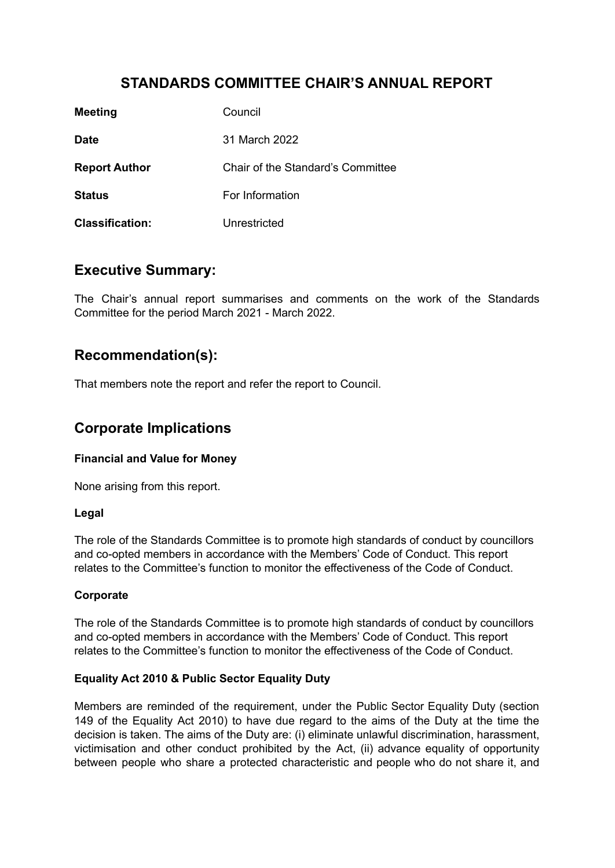# **STANDARDS COMMITTEE CHAIR'S ANNUAL REPORT**

| <b>Meeting</b>         | Council                           |
|------------------------|-----------------------------------|
| <b>Date</b>            | 31 March 2022                     |
| <b>Report Author</b>   | Chair of the Standard's Committee |
| <b>Status</b>          | For Information                   |
| <b>Classification:</b> | Unrestricted                      |

### **Executive Summary:**

The Chair's annual report summarises and comments on the work of the Standards Committee for the period March 2021 - March 2022.

### **Recommendation(s):**

That members note the report and refer the report to Council.

### **Corporate Implications**

#### **Financial and Value for Money**

None arising from this report.

#### **Legal**

The role of the Standards Committee is to promote high standards of conduct by councillors and co-opted members in accordance with the Members' Code of Conduct. This report relates to the Committee's function to monitor the effectiveness of the Code of Conduct.

#### **Corporate**

The role of the Standards Committee is to promote high standards of conduct by councillors and co-opted members in accordance with the Members' Code of Conduct. This report relates to the Committee's function to monitor the effectiveness of the Code of Conduct.

#### **Equality Act 2010 & Public Sector Equality Duty**

Members are reminded of the requirement, under the Public Sector Equality Duty (section 149 of the Equality Act 2010) to have due regard to the aims of the Duty at the time the decision is taken. The aims of the Duty are: (i) eliminate unlawful discrimination, harassment, victimisation and other conduct prohibited by the Act, (ii) advance equality of opportunity between people who share a protected characteristic and people who do not share it, and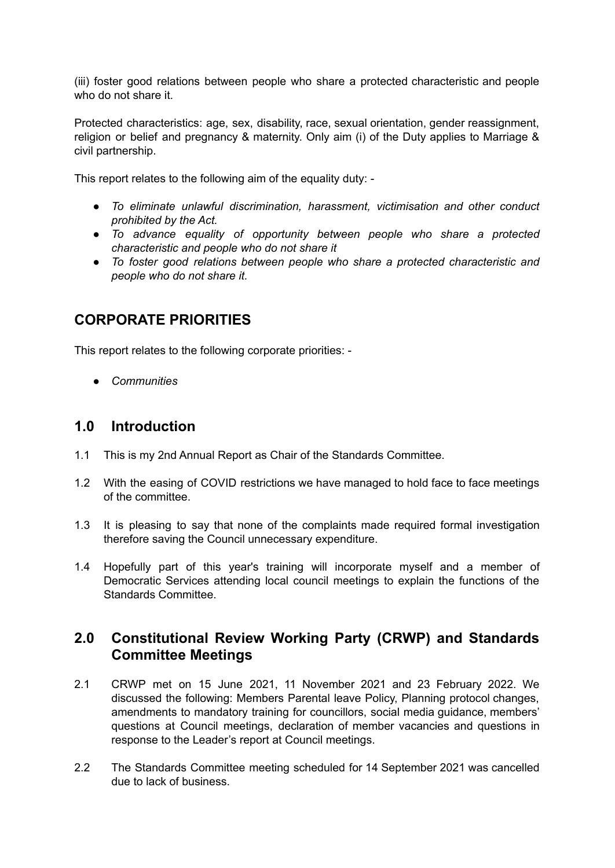(iii) foster good relations between people who share a protected characteristic and people who do not share it.

Protected characteristics: age, sex, disability, race, sexual orientation, gender reassignment, religion or belief and pregnancy & maternity. Only aim (i) of the Duty applies to Marriage & civil partnership.

This report relates to the following aim of the equality duty: -

- *● To eliminate unlawful discrimination, harassment, victimisation and other conduct prohibited by the Act.*
- *● To advance equality of opportunity between people who share a protected characteristic and people who do not share it*
- *● To foster good relations between people who share a protected characteristic and people who do not share it.*

# **CORPORATE PRIORITIES**

This report relates to the following corporate priorities: -

*● Communities*

### **1.0 Introduction**

- 1.1 This is my 2nd Annual Report as Chair of the Standards Committee.
- 1.2 With the easing of COVID restrictions we have managed to hold face to face meetings of the committee.
- 1.3 It is pleasing to say that none of the complaints made required formal investigation therefore saving the Council unnecessary expenditure.
- 1.4 Hopefully part of this year's training will incorporate myself and a member of Democratic Services attending local council meetings to explain the functions of the Standards Committee.

### **2.0 Constitutional Review Working Party (CRWP) and Standards Committee Meetings**

- 2.1 CRWP met on 15 June 2021, 11 November 2021 and 23 February 2022. We discussed the following: Members Parental leave Policy, Planning protocol changes, amendments to mandatory training for councillors, social media guidance, members' questions at Council meetings, declaration of member vacancies and questions in response to the Leader's report at Council meetings.
- 2.2 The Standards Committee meeting scheduled for 14 September 2021 was cancelled due to lack of business.